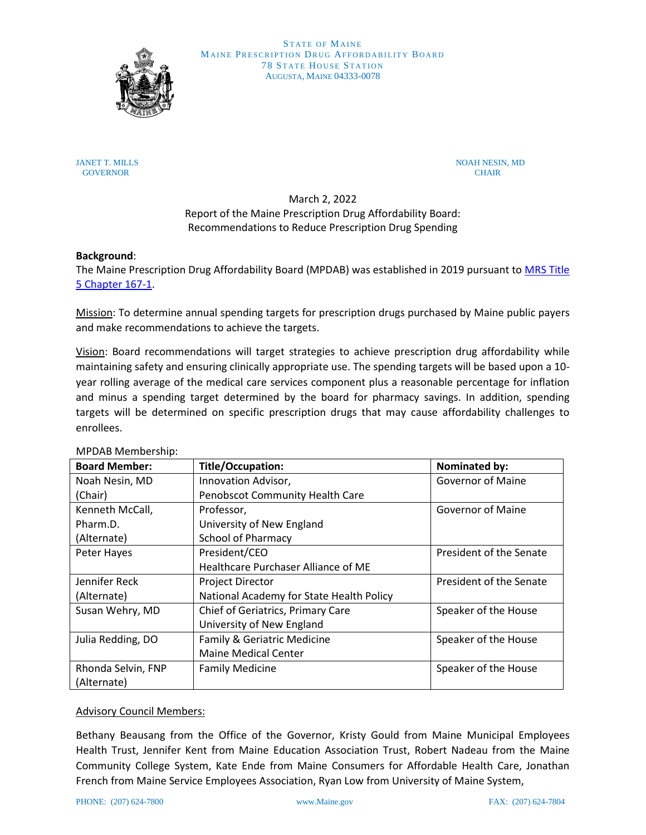

**STATE OF MAINE** MAINE PRESCRIPTION DRUG AFFORDABILITY BOARD **78 STATE HOUSE STATION** AUGUSTA, MAINE 04333-0078

JANET T. MILLS NOAH NESIN, MD GOVERNOR CHAIR GOVERNOR CHAIR CONTROL CHAIR CONTROL CHAIR CONTROL CHAIR CHAIR CHAIR CHAIR CHAIR

> March 2, 2022 Report of the Maine Prescription Drug Affordability Board: Recommendations to Reduce Prescription Drug Spending

## **Background**:

The Maine Prescription Drug Affordability Board (MPDAB) was established in 2019 pursuant to [MRS Title](https://gcc02.safelinks.protection.outlook.com/?url=http%3A%2F%2Flegislature.maine.gov%2Flegis%2Fstatutes%2F5%2Ftitle5ch167sec0-1.html&data=04%7C01%7CPaige.S.Lamarre%40maine.gov%7Cc67bd7142a4a468aad9a08d8828c8bc6%7C413fa8ab207d4b629bcdea1a8f2f864e%7C0%7C0%7C637402887443732830%7CUnknown%7CTWFpbGZsb3d8eyJWIjoiMC4wLjAwMDAiLCJQIjoiV2luMzIiLCJBTiI6Ik1haWwiLCJXVCI6Mn0%3D%7C1000&sdata=mSrogQNKwnXNyX3RdrNAbGJn4A2%2FwN8OrAb2Oq5yWq4%3D&reserved=0)  [5 Chapter](https://gcc02.safelinks.protection.outlook.com/?url=http%3A%2F%2Flegislature.maine.gov%2Flegis%2Fstatutes%2F5%2Ftitle5ch167sec0-1.html&data=04%7C01%7CPaige.S.Lamarre%40maine.gov%7Cc67bd7142a4a468aad9a08d8828c8bc6%7C413fa8ab207d4b629bcdea1a8f2f864e%7C0%7C0%7C637402887443732830%7CUnknown%7CTWFpbGZsb3d8eyJWIjoiMC4wLjAwMDAiLCJQIjoiV2luMzIiLCJBTiI6Ik1haWwiLCJXVCI6Mn0%3D%7C1000&sdata=mSrogQNKwnXNyX3RdrNAbGJn4A2%2FwN8OrAb2Oq5yWq4%3D&reserved=0) 167-1.

Mission: To determine annual spending targets for prescription drugs purchased by Maine public payers and make recommendations to achieve the targets.

Vision: Board recommendations will target strategies to achieve prescription drug affordability while maintaining safety and ensuring clinically appropriate use. The spending targets will be based upon a 10 year rolling average of the medical care services component plus a reasonable percentage for inflation and minus a spending target determined by the board for pharmacy savings. In addition, spending targets will be determined on specific prescription drugs that may cause affordability challenges to enrollees.

| <b>Board Member:</b> | <b>Title/Occupation:</b>                 | Nominated by:            |
|----------------------|------------------------------------------|--------------------------|
| Noah Nesin, MD       | Innovation Advisor,                      | <b>Governor of Maine</b> |
| (Chair)              | Penobscot Community Health Care          |                          |
| Kenneth McCall,      | Professor,                               | <b>Governor of Maine</b> |
| Pharm.D.             | University of New England                |                          |
| (Alternate)          | <b>School of Pharmacy</b>                |                          |
| Peter Hayes          | President/CEO                            | President of the Senate  |
|                      | Healthcare Purchaser Alliance of ME      |                          |
| Jennifer Reck        | <b>Project Director</b>                  | President of the Senate  |
| (Alternate)          | National Academy for State Health Policy |                          |
| Susan Wehry, MD      | Chief of Geriatrics, Primary Care        | Speaker of the House     |
|                      | University of New England                |                          |
| Julia Redding, DO    | Family & Geriatric Medicine              | Speaker of the House     |
|                      | <b>Maine Medical Center</b>              |                          |
| Rhonda Selvin, FNP   | <b>Family Medicine</b>                   | Speaker of the House     |
| (Alternate)          |                                          |                          |

# MPDAB Membership:

# Advisory Council Members:

Bethany Beausang from the Office of the Governor, Kristy Gould from Maine Municipal Employees Health Trust, Jennifer Kent from Maine Education Association Trust, Robert Nadeau from the Maine Community College System, Kate Ende from Maine Consumers for Affordable Health Care, Jonathan French from Maine Service Employees Association, Ryan Low from University of Maine System,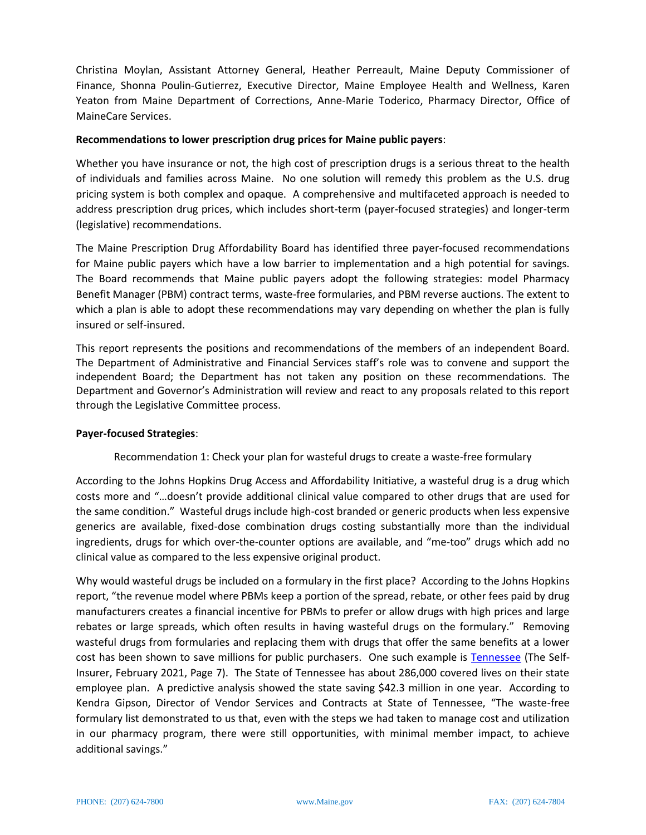Christina Moylan, Assistant Attorney General, Heather Perreault, Maine Deputy Commissioner of Finance, Shonna Poulin-Gutierrez, Executive Director, Maine Employee Health and Wellness, Karen Yeaton from Maine Department of Corrections, Anne-Marie Toderico, Pharmacy Director, Office of MaineCare Services.

### **Recommendations to lower prescription drug prices for Maine public payers**:

Whether you have insurance or not, the high cost of prescription drugs is a serious threat to the health of individuals and families across Maine. No one solution will remedy this problem as the U.S. drug pricing system is both complex and opaque. A comprehensive and multifaceted approach is needed to address prescription drug prices, which includes short-term (payer-focused strategies) and longer-term (legislative) recommendations.

The Maine Prescription Drug Affordability Board has identified three payer-focused recommendations for Maine public payers which have a low barrier to implementation and a high potential for savings. The Board recommends that Maine public payers adopt the following strategies: model Pharmacy Benefit Manager (PBM) contract terms, waste-free formularies, and PBM reverse auctions. The extent to which a plan is able to adopt these recommendations may vary depending on whether the plan is fully insured or self-insured.

This report represents the positions and recommendations of the members of an independent Board. The Department of Administrative and Financial Services staff's role was to convene and support the independent Board; the Department has not taken any position on these recommendations. The Department and Governor's Administration will review and react to any proposals related to this report through the Legislative Committee process.

### **Payer-focused Strategies**:

Recommendation 1: Check your plan for wasteful drugs to create a waste-free formulary

According to the Johns Hopkins Drug Access and Affordability Initiative, a wasteful drug is a drug which costs more and "…doesn't provide additional clinical value compared to other drugs that are used for the same condition." Wasteful drugs include high-cost branded or generic products when less expensive generics are available, fixed-dose combination drugs costing substantially more than the individual ingredients, drugs for which over-the-counter options are available, and "me-too" drugs which add no clinical value as compared to the less expensive original product.

Why would wasteful drugs be included on a formulary in the first place? According to the Johns Hopkins report, "the revenue model where PBMs keep a portion of the spread, rebate, or other fees paid by drug manufacturers creates a financial incentive for PBMs to prefer or allow drugs with high prices and large rebates or large spreads, which often results in having wasteful drugs on the formulary." Removing wasteful drugs from formularies and replacing them with drugs that offer the same benefits at a lower cost has been shown to save millions for public purchasers. One such example is [Tennessee](https://issuu.com/sipconlinepub/docs/selfinsurerfeb2021web) (The Self-Insurer, February 2021, Page 7). The State of Tennessee has about 286,000 covered lives on their state employee plan. A predictive analysis showed the state saving \$42.3 million in one year. According to Kendra Gipson, Director of Vendor Services and Contracts at State of Tennessee, "The waste-free formulary list demonstrated to us that, even with the steps we had taken to manage cost and utilization in our pharmacy program, there were still opportunities, with minimal member impact, to achieve additional savings."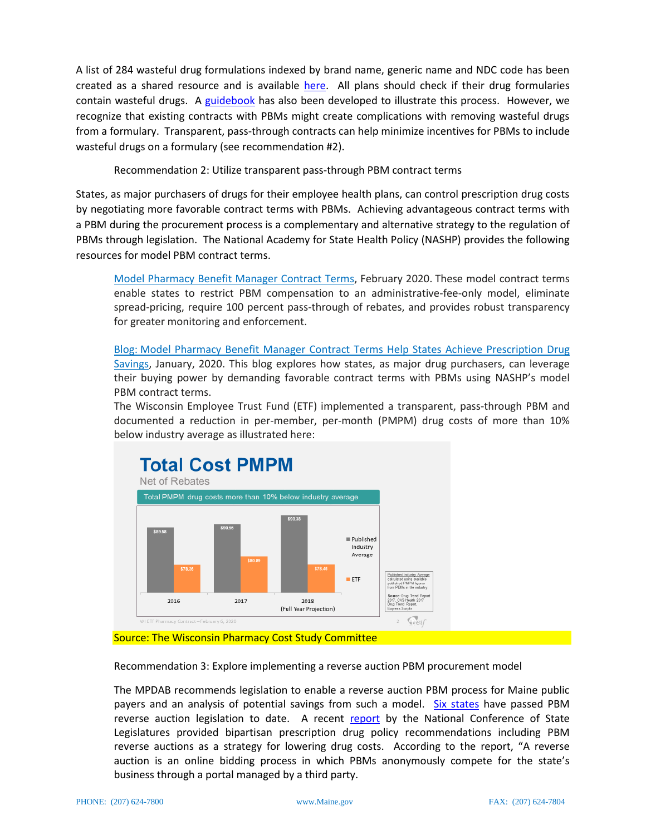A list of 284 wasteful drug formulations indexed by brand name, generic name and NDC code has been created as a shared resource and is available [here.](https://www.pbgh.org/initiative/waste-free-formularies/) All plans should check if their drug formularies contain wasteful drugs. A [guidebook](https://www.pbgh.org/wp-content/uploads/2021/01/PBGH-Wasteful-Drugs-Guidebook-FINAL.pdf) has also been developed to illustrate this process. However, we recognize that existing contracts with PBMs might create complications with removing wasteful drugs from a formulary. Transparent, pass-through contracts can help minimize incentives for PBMs to include wasteful drugs on a formulary (see recommendation #2).

Recommendation 2: Utilize transparent pass-through PBM contract terms

States, as major purchasers of drugs for their employee health plans, can control prescription drug costs by negotiating more favorable contract terms with PBMs. Achieving advantageous contract terms with a PBM during the procurement process is a complementary and alternative strategy to the regulation of PBMs through legislation. The National Academy for State Health Policy (NASHP) provides the following resources for model PBM contract terms.

Model [Pharmacy](https://www.nashp.org/wp-content/uploads/2020/02/PBM-model-Contract-2.13.2020.pdf) Benefit Manager Contract Terms, February 2020. These model contract terms enable states to restrict PBM compensation to an administrative-fee-only model, eliminate spread-pricing, require 100 percent pass-through of rebates, and provides robust transparency for greater monitoring and enforcement.

[Blog:](https://www.nashp.org/model-pharmacy-benefit-manager-contract-terms-help-states-achieve-prescription-drug-savings/) Model Pharmacy Benefit Manager Contract Terms Help States Achieve [Prescription](https://www.nashp.org/model-pharmacy-benefit-manager-contract-terms-help-states-achieve-prescription-drug-savings/) Drug [Savings,](https://www.nashp.org/model-pharmacy-benefit-manager-contract-terms-help-states-achieve-prescription-drug-savings/) January, 2020. This blog explores how states, as major drug purchasers, can leverage their buying power by demanding favorable contract terms with PBMs using NASHP's model PBM contract terms.

The Wisconsin Employee Trust Fund (ETF) implemented a transparent, pass-through PBM and documented a reduction in per-member, per-month (PMPM) drug costs of more than 10% below industry average as illustrated here:



Recommendation 3: Explore implementing a reverse auction PBM procurement model

The MPDAB recommends legislation to enable a reverse auction PBM process for Maine public payers and an analysis of potential savings from such a model. [Six states](https://www.nashp.org/three-more-states-enact-reverse-auction-laws-to-reduce-prescription-drug-spending/) have passed PBM reverse auction legislation to date. A recent [report](https://www.ncsl.org/research/health/prescription-drug-policy-a-bipartisan-remedy.aspx) by the National Conference of State Legislatures provided bipartisan prescription drug policy recommendations including PBM reverse auctions as a strategy for lowering drug costs. According to the report, "A reverse auction is an online bidding process in which PBMs anonymously compete for the state's business through a portal managed by a third party.